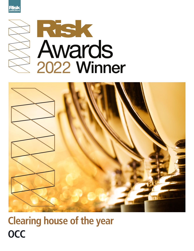





# **Clearing house of the year OCC**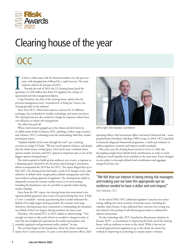

## Clearing house of the year

### OCC

I's been a roller<br>coaster ride for financial markets over the past years, with plunging lows followed by a rapid recovery. The<br>could be said for the fortunes of OCC.<br>Towards the end of 2019, the US clearing house faced the t's been a rollercoaster ride for financial markets over the past two years, with plunging lows followed by a rapid recovery. The same could be said for the fortunes of OCC.

Towards the end of 2019, the US clearing house faced the operational and risk management failures.

Craig Donohue, the chair of the clearing house, admits that the previous management team "overachieved" at being the "lowest cost clearing provider in the industry".

Since then OCC, which clears options contracts for 16 different exchanges, has overhauled its models, technology, and senior executives. The clearing house has also worked to change its corporate culture from cost efficiency to robust risk management.

The effort has paid off.

When retail investors ganged up to buy shares and derivatives in so-called meme stocks in January 2021, sparking a violent surge in prices and volumes, OCC's technology and risk methodology held firm, market participants report.

"Implied volatility levels went through the roof," says a clearing executive at a large US bank. "We saw record options volumes, and despite that the whole system worked great. I feel much more confident about options market structure and OCC played an important part as one of the biggest options clearing houses."

The work required to build up that resilience was, in part, a response to a damning report released by the Securities and Exchange Commission which accompanied the 2019 fine for OCC. The report alleged that up to May 2017, the clearing house had made a total of 24 changes to key rules related to its default fund, margin policy, default management and other areas without seeking approval of regulators. The clearing house failed to adequately account for extreme market moves in its stress-testing, including the liquidation costs of a portfolio as spreads widen during market volatility.

Away from the SEC report, the clearing house also maintained a less rigorous default guarantee than many of its peers during that time. It held a Cover 1 standard – namely, guaranteeing that it could withstand the default of its single largest clearing member. By contrast, most large derivatives clearing houses have committed to withstanding the simultaneous default of their two largest clearing members for many years.

Donohue, who joined OCC in 2014, admits to shortcomings. "Not enough was done to take stock of how we needed to change in order to meet the new, heightened expectations for market participants, and

certainly, regulators and government policy-makers," he says. š

Photos: OCCThe overhaul began in the boardroom, where the clearer cleared out Photos: many of its C-suite executives. In came a new chief executive officer, chief



Left to right: John Davidson, Scot Warren

operating officer, chief investment officer and head of financial risk – some poached from Donohue's old shop CME Group. In 2018, OCC launched its financial safeguards framework programme, a multi-year initiative to address regulatory concerns and improve model standards.

That same year, the clearing house moved to Cover 2, while also decoupling margins from default fund contributions, in order to avoid calling too much liquidity from members at the same time. Eurex changed its own policy to decouple default fund contributions and aggregate margin levels last year.

"We felt that our interest in being strong risk managers and making sure we have the appropriate eye on resilience needed to have a dollar and cent impact" John Davidson, OCC

At the end of 2020, OCC addressed regulators' concerns over stresstesting, adding new stress scenarios of extreme moves, including for volatility index futures. It also addressed their concerns over wrong-way risk related to the posting of self-referencing securities as collateral for options transactions.

On the technology side, OCC launched its Renaissance initiative in January 2019 – a commitment to improving the back end of the clearing house, with an ambition to move to the cloud. While it has not yet received approval from regulators to go to the cloud, the clearer has worked on improving its technology to sustain massive volumes.